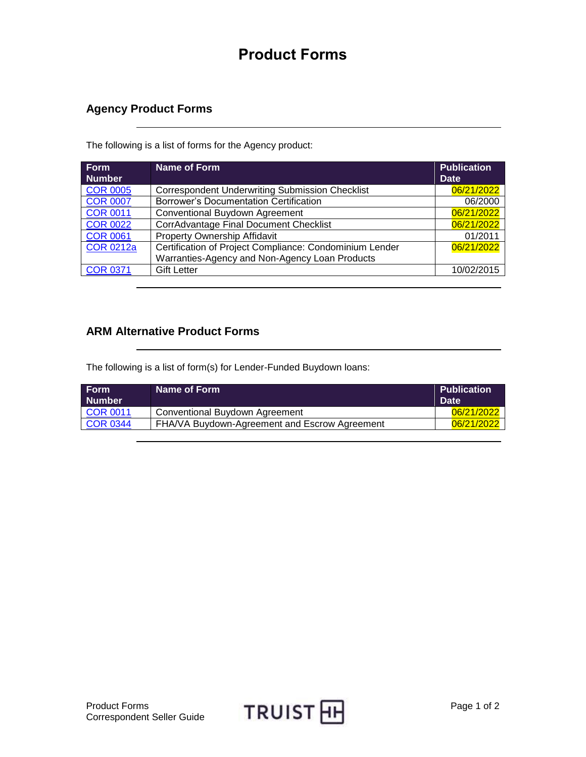## **Product Forms**

## **Agency Product Forms**

The following is a list of forms for the Agency product:

| <b>Form</b><br><b>Number</b> | Name of Form                                            | <b>Publication</b><br><b>Date</b> |
|------------------------------|---------------------------------------------------------|-----------------------------------|
| <b>COR 0005</b>              | <b>Correspondent Underwriting Submission Checklist</b>  | 06/21/2022                        |
| <b>COR 0007</b>              | <b>Borrower's Documentation Certification</b>           | 06/2000                           |
| <b>COR 0011</b>              | <b>Conventional Buydown Agreement</b>                   | 06/21/2022                        |
| <b>COR 0022</b>              | <b>CorrAdvantage Final Document Checklist</b>           | 06/21/2022                        |
| <b>COR 0061</b>              | <b>Property Ownership Affidavit</b>                     | 01/2011                           |
| <b>COR 0212a</b>             | Certification of Project Compliance: Condominium Lender | 06/21/2022                        |
|                              | Warranties-Agency and Non-Agency Loan Products          |                                   |
| <b>COR 0371</b>              | <b>Gift Letter</b>                                      | 10/02/2015                        |

## **ARM Alternative Product Forms**

The following is a list of form(s) for Lender-Funded Buydown loans:

| l Form<br>l Number | Name of Form                                  | <b>Publication</b><br><b>Date</b> |
|--------------------|-----------------------------------------------|-----------------------------------|
| <b>COR 0011</b>    | Conventional Buydown Agreement                | 06/21/2022                        |
| <b>COR 0344</b>    | FHA/VA Buydown-Agreement and Escrow Agreement | 06/21/2022                        |